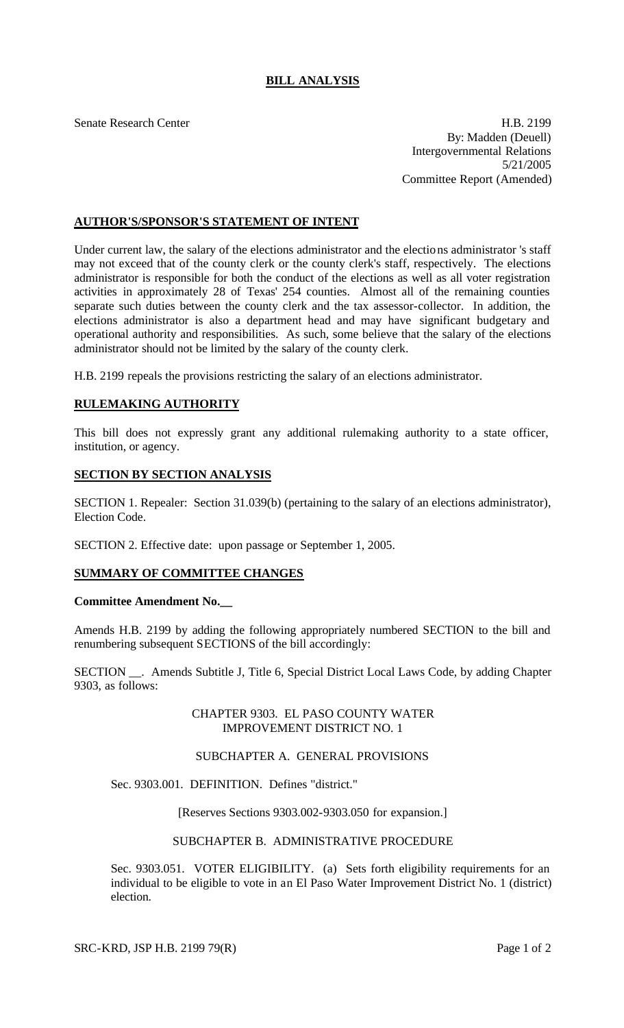# **BILL ANALYSIS**

Senate Research Center **H.B. 2199** By: Madden (Deuell) Intergovernmental Relations 5/21/2005 Committee Report (Amended)

# **AUTHOR'S/SPONSOR'S STATEMENT OF INTENT**

Under current law, the salary of the elections administrator and the elections administrator 's staff may not exceed that of the county clerk or the county clerk's staff, respectively. The elections administrator is responsible for both the conduct of the elections as well as all voter registration activities in approximately 28 of Texas' 254 counties. Almost all of the remaining counties separate such duties between the county clerk and the tax assessor-collector. In addition, the elections administrator is also a department head and may have significant budgetary and operational authority and responsibilities. As such, some believe that the salary of the elections administrator should not be limited by the salary of the county clerk.

H.B. 2199 repeals the provisions restricting the salary of an elections administrator.

## **RULEMAKING AUTHORITY**

This bill does not expressly grant any additional rulemaking authority to a state officer, institution, or agency.

### **SECTION BY SECTION ANALYSIS**

SECTION 1. Repealer: Section 31.039(b) (pertaining to the salary of an elections administrator), Election Code.

SECTION 2. Effective date: upon passage or September 1, 2005.

## **SUMMARY OF COMMITTEE CHANGES**

#### **Committee Amendment No.\_\_**

Amends H.B. 2199 by adding the following appropriately numbered SECTION to the bill and renumbering subsequent SECTIONS of the bill accordingly:

SECTION \_\_. Amends Subtitle J, Title 6, Special District Local Laws Code, by adding Chapter 9303, as follows:

### CHAPTER 9303. EL PASO COUNTY WATER IMPROVEMENT DISTRICT NO. 1

#### SUBCHAPTER A. GENERAL PROVISIONS

Sec. 9303.001. DEFINITION. Defines "district."

[Reserves Sections 9303.002-9303.050 for expansion.]

#### SUBCHAPTER B. ADMINISTRATIVE PROCEDURE

Sec. 9303.051. VOTER ELIGIBILITY. (a) Sets forth eligibility requirements for an individual to be eligible to vote in an El Paso Water Improvement District No. 1 (district) election.